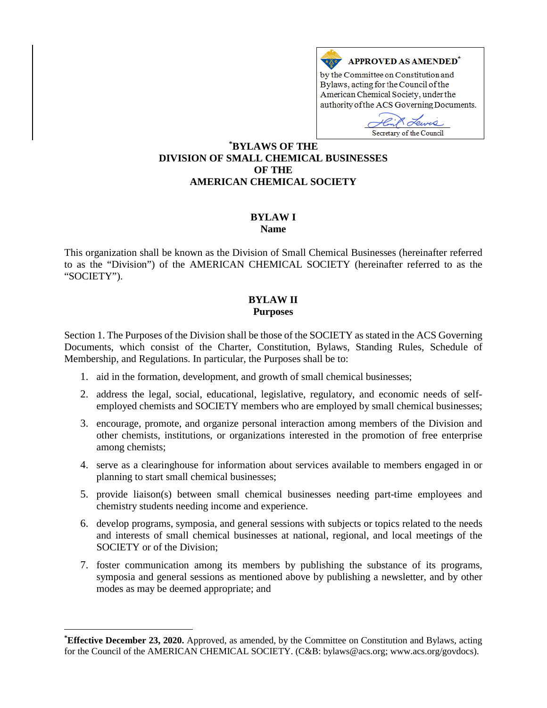

by the Committee on Constitution and Bylaws, acting for the Council of the American Chemical Society, under the authority of the ACS Governing Documents.

Secretary of the Council

## **[\\*](#page-0-0) BYLAWS OF THE DIVISION OF SMALL CHEMICAL BUSINESSES OF THE AMERICAN CHEMICAL SOCIETY**

# **BYLAW I**

#### **Name**

This organization shall be known as the Division of Small Chemical Businesses (hereinafter referred to as the "Division") of the AMERICAN CHEMICAL SOCIETY (hereinafter referred to as the "SOCIETY").

### **BYLAW II Purposes**

Section 1. The Purposes of the Division shall be those of the SOCIETY as stated in the ACS Governing Documents, which consist of the Charter, Constitution, Bylaws, Standing Rules, Schedule of Membership, and Regulations. In particular, the Purposes shall be to:

- 1. aid in the formation, development, and growth of small chemical businesses;
- 2. address the legal, social, educational, legislative, regulatory, and economic needs of selfemployed chemists and SOCIETY members who are employed by small chemical businesses;
- 3. encourage, promote, and organize personal interaction among members of the Division and other chemists, institutions, or organizations interested in the promotion of free enterprise among chemists;
- 4. serve as a clearinghouse for information about services available to members engaged in or planning to start small chemical businesses;
- 5. provide liaison(s) between small chemical businesses needing part-time employees and chemistry students needing income and experience.
- 6. develop programs, symposia, and general sessions with subjects or topics related to the needs and interests of small chemical businesses at national, regional, and local meetings of the SOCIETY or of the Division;
- 7. foster communication among its members by publishing the substance of its programs, symposia and general sessions as mentioned above by publishing a newsletter, and by other modes as may be deemed appropriate; and

 $\overline{a}$ 

<span id="page-0-0"></span>**<sup>\*</sup> Effective December 23, 2020.** Approved, as amended, by the Committee on Constitution and Bylaws, acting for the Council of the AMERICAN CHEMICAL SOCIETY. (C&B: bylaws@acs.org; www.acs.org/govdocs).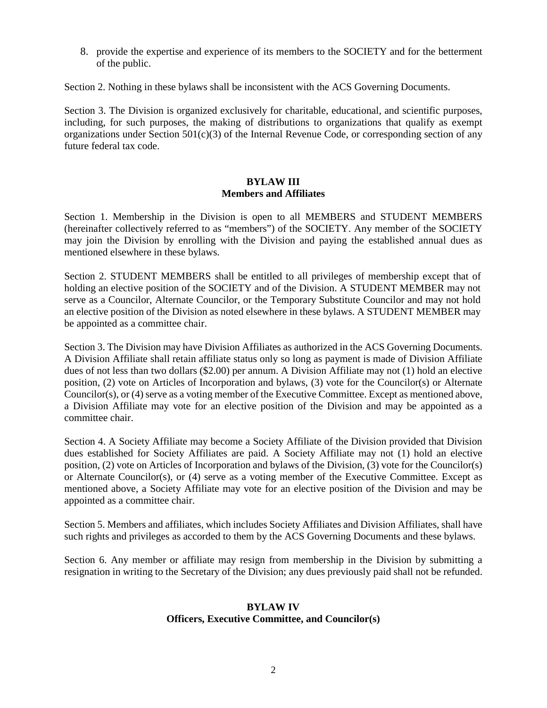8. provide the expertise and experience of its members to the SOCIETY and for the betterment of the public.

Section 2. Nothing in these bylaws shall be inconsistent with the ACS Governing Documents.

Section 3. The Division is organized exclusively for charitable, educational, and scientific purposes, including, for such purposes, the making of distributions to organizations that qualify as exempt organizations under Section  $501(c)(3)$  of the Internal Revenue Code, or corresponding section of any future federal tax code.

## **BYLAW III Members and Affiliates**

Section 1. Membership in the Division is open to all MEMBERS and STUDENT MEMBERS (hereinafter collectively referred to as "members") of the SOCIETY. Any member of the SOCIETY may join the Division by enrolling with the Division and paying the established annual dues as mentioned elsewhere in these bylaws.

Section 2. STUDENT MEMBERS shall be entitled to all privileges of membership except that of holding an elective position of the SOCIETY and of the Division. A STUDENT MEMBER may not serve as a Councilor, Alternate Councilor, or the Temporary Substitute Councilor and may not hold an elective position of the Division as noted elsewhere in these bylaws. A STUDENT MEMBER may be appointed as a committee chair.

Section 3. The Division may have Division Affiliates as authorized in the ACS Governing Documents. A Division Affiliate shall retain affiliate status only so long as payment is made of Division Affiliate dues of not less than two dollars (\$2.00) per annum. A Division Affiliate may not (1) hold an elective position, (2) vote on Articles of Incorporation and bylaws, (3) vote for the Councilor(s) or Alternate Councilor(s), or (4) serve as a voting member of the Executive Committee. Except as mentioned above, a Division Affiliate may vote for an elective position of the Division and may be appointed as a committee chair.

Section 4. A Society Affiliate may become a Society Affiliate of the Division provided that Division dues established for Society Affiliates are paid. A Society Affiliate may not (1) hold an elective position, (2) vote on Articles of Incorporation and bylaws of the Division, (3) vote for the Councilor(s) or Alternate Councilor(s), or (4) serve as a voting member of the Executive Committee. Except as mentioned above, a Society Affiliate may vote for an elective position of the Division and may be appointed as a committee chair.

Section 5. Members and affiliates, which includes Society Affiliates and Division Affiliates, shall have such rights and privileges as accorded to them by the ACS Governing Documents and these bylaws.

Section 6. Any member or affiliate may resign from membership in the Division by submitting a resignation in writing to the Secretary of the Division; any dues previously paid shall not be refunded.

#### **BYLAW IV Officers, Executive Committee, and Councilor(s)**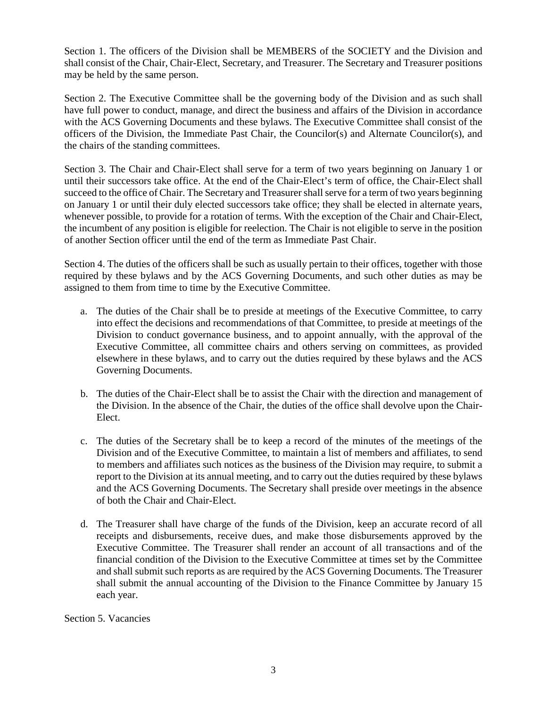Section 1. The officers of the Division shall be MEMBERS of the SOCIETY and the Division and shall consist of the Chair, Chair-Elect, Secretary, and Treasurer. The Secretary and Treasurer positions may be held by the same person.

Section 2. The Executive Committee shall be the governing body of the Division and as such shall have full power to conduct, manage, and direct the business and affairs of the Division in accordance with the ACS Governing Documents and these bylaws. The Executive Committee shall consist of the officers of the Division, the Immediate Past Chair, the Councilor(s) and Alternate Councilor(s), and the chairs of the standing committees.

Section 3. The Chair and Chair-Elect shall serve for a term of two years beginning on January 1 or until their successors take office. At the end of the Chair-Elect's term of office, the Chair-Elect shall succeed to the office of Chair. The Secretary and Treasurer shall serve for a term of two years beginning on January 1 or until their duly elected successors take office; they shall be elected in alternate years, whenever possible, to provide for a rotation of terms. With the exception of the Chair and Chair-Elect, the incumbent of any position is eligible for reelection. The Chair is not eligible to serve in the position of another Section officer until the end of the term as Immediate Past Chair.

Section 4. The duties of the officers shall be such as usually pertain to their offices, together with those required by these bylaws and by the ACS Governing Documents, and such other duties as may be assigned to them from time to time by the Executive Committee.

- a. The duties of the Chair shall be to preside at meetings of the Executive Committee, to carry into effect the decisions and recommendations of that Committee, to preside at meetings of the Division to conduct governance business, and to appoint annually, with the approval of the Executive Committee, all committee chairs and others serving on committees, as provided elsewhere in these bylaws, and to carry out the duties required by these bylaws and the ACS Governing Documents.
- b. The duties of the Chair-Elect shall be to assist the Chair with the direction and management of the Division. In the absence of the Chair, the duties of the office shall devolve upon the Chair-Elect.
- c. The duties of the Secretary shall be to keep a record of the minutes of the meetings of the Division and of the Executive Committee, to maintain a list of members and affiliates, to send to members and affiliates such notices as the business of the Division may require, to submit a report to the Division at its annual meeting, and to carry out the duties required by these bylaws and the ACS Governing Documents. The Secretary shall preside over meetings in the absence of both the Chair and Chair-Elect.
- d. The Treasurer shall have charge of the funds of the Division, keep an accurate record of all receipts and disbursements, receive dues, and make those disbursements approved by the Executive Committee. The Treasurer shall render an account of all transactions and of the financial condition of the Division to the Executive Committee at times set by the Committee and shall submit such reports as are required by the ACS Governing Documents. The Treasurer shall submit the annual accounting of the Division to the Finance Committee by January 15 each year.

Section 5. Vacancies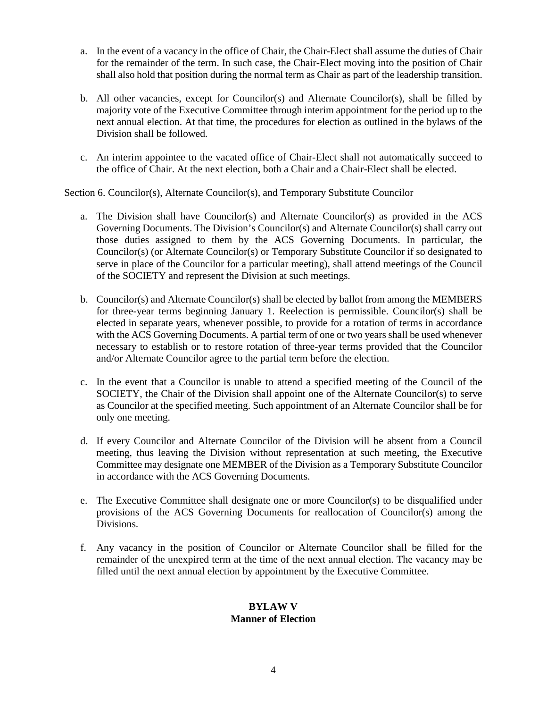- a. In the event of a vacancy in the office of Chair, the Chair-Elect shall assume the duties of Chair for the remainder of the term. In such case, the Chair-Elect moving into the position of Chair shall also hold that position during the normal term as Chair as part of the leadership transition.
- b. All other vacancies, except for Councilor(s) and Alternate Councilor(s), shall be filled by majority vote of the Executive Committee through interim appointment for the period up to the next annual election. At that time, the procedures for election as outlined in the bylaws of the Division shall be followed.
- c. An interim appointee to the vacated office of Chair-Elect shall not automatically succeed to the office of Chair. At the next election, both a Chair and a Chair-Elect shall be elected.

Section 6. Councilor(s), Alternate Councilor(s), and Temporary Substitute Councilor

- a. The Division shall have Councilor(s) and Alternate Councilor(s) as provided in the ACS Governing Documents. The Division's Councilor(s) and Alternate Councilor(s) shall carry out those duties assigned to them by the ACS Governing Documents. In particular, the Councilor(s) (or Alternate Councilor(s) or Temporary Substitute Councilor if so designated to serve in place of the Councilor for a particular meeting), shall attend meetings of the Council of the SOCIETY and represent the Division at such meetings.
- b. Councilor(s) and Alternate Councilor(s) shall be elected by ballot from among the MEMBERS for three-year terms beginning January 1. Reelection is permissible. Councilor(s) shall be elected in separate years, whenever possible, to provide for a rotation of terms in accordance with the ACS Governing Documents. A partial term of one or two years shall be used whenever necessary to establish or to restore rotation of three-year terms provided that the Councilor and/or Alternate Councilor agree to the partial term before the election.
- c. In the event that a Councilor is unable to attend a specified meeting of the Council of the SOCIETY, the Chair of the Division shall appoint one of the Alternate Councilor(s) to serve as Councilor at the specified meeting. Such appointment of an Alternate Councilor shall be for only one meeting.
- d. If every Councilor and Alternate Councilor of the Division will be absent from a Council meeting, thus leaving the Division without representation at such meeting, the Executive Committee may designate one MEMBER of the Division as a Temporary Substitute Councilor in accordance with the ACS Governing Documents.
- e. The Executive Committee shall designate one or more Councilor(s) to be disqualified under provisions of the ACS Governing Documents for reallocation of Councilor(s) among the Divisions.
- f. Any vacancy in the position of Councilor or Alternate Councilor shall be filled for the remainder of the unexpired term at the time of the next annual election. The vacancy may be filled until the next annual election by appointment by the Executive Committee.

## **BYLAW V Manner of Election**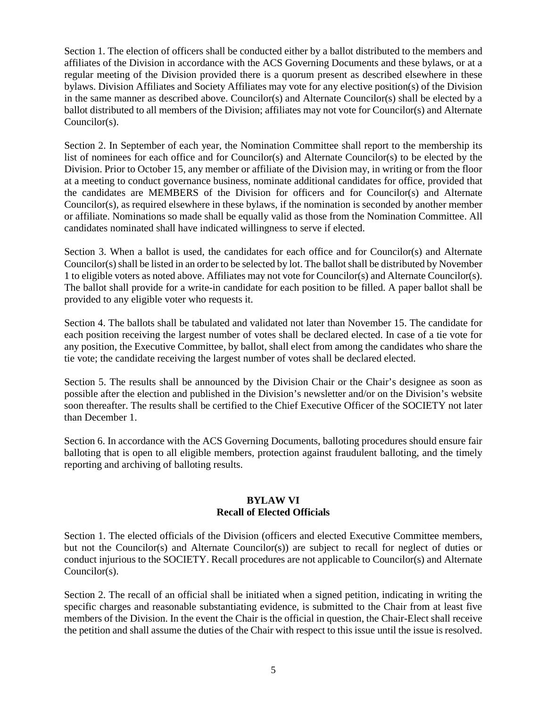Section 1. The election of officers shall be conducted either by a ballot distributed to the members and affiliates of the Division in accordance with the ACS Governing Documents and these bylaws, or at a regular meeting of the Division provided there is a quorum present as described elsewhere in these bylaws. Division Affiliates and Society Affiliates may vote for any elective position(s) of the Division in the same manner as described above. Councilor(s) and Alternate Councilor(s) shall be elected by a ballot distributed to all members of the Division; affiliates may not vote for Councilor(s) and Alternate Councilor(s).

Section 2. In September of each year, the Nomination Committee shall report to the membership its list of nominees for each office and for Councilor(s) and Alternate Councilor(s) to be elected by the Division. Prior to October 15, any member or affiliate of the Division may, in writing or from the floor at a meeting to conduct governance business, nominate additional candidates for office, provided that the candidates are MEMBERS of the Division for officers and for Councilor(s) and Alternate Councilor(s), as required elsewhere in these bylaws, if the nomination is seconded by another member or affiliate. Nominations so made shall be equally valid as those from the Nomination Committee. All candidates nominated shall have indicated willingness to serve if elected.

Section 3. When a ballot is used, the candidates for each office and for Councilor(s) and Alternate Councilor(s) shall be listed in an order to be selected by lot. The ballot shall be distributed by November 1 to eligible voters as noted above. Affiliates may not vote for Councilor(s) and Alternate Councilor(s). The ballot shall provide for a write-in candidate for each position to be filled. A paper ballot shall be provided to any eligible voter who requests it.

Section 4. The ballots shall be tabulated and validated not later than November 15. The candidate for each position receiving the largest number of votes shall be declared elected. In case of a tie vote for any position, the Executive Committee, by ballot, shall elect from among the candidates who share the tie vote; the candidate receiving the largest number of votes shall be declared elected.

Section 5. The results shall be announced by the Division Chair or the Chair's designee as soon as possible after the election and published in the Division's newsletter and/or on the Division's website soon thereafter. The results shall be certified to the Chief Executive Officer of the SOCIETY not later than December 1.

Section 6. In accordance with the ACS Governing Documents, balloting procedures should ensure fair balloting that is open to all eligible members, protection against fraudulent balloting, and the timely reporting and archiving of balloting results.

#### **BYLAW VI Recall of Elected Officials**

Section 1. The elected officials of the Division (officers and elected Executive Committee members, but not the Councilor(s) and Alternate Councilor(s)) are subject to recall for neglect of duties or conduct injurious to the SOCIETY. Recall procedures are not applicable to Councilor(s) and Alternate Councilor(s).

Section 2. The recall of an official shall be initiated when a signed petition, indicating in writing the specific charges and reasonable substantiating evidence, is submitted to the Chair from at least five members of the Division. In the event the Chair is the official in question, the Chair-Elect shall receive the petition and shall assume the duties of the Chair with respect to this issue until the issue is resolved.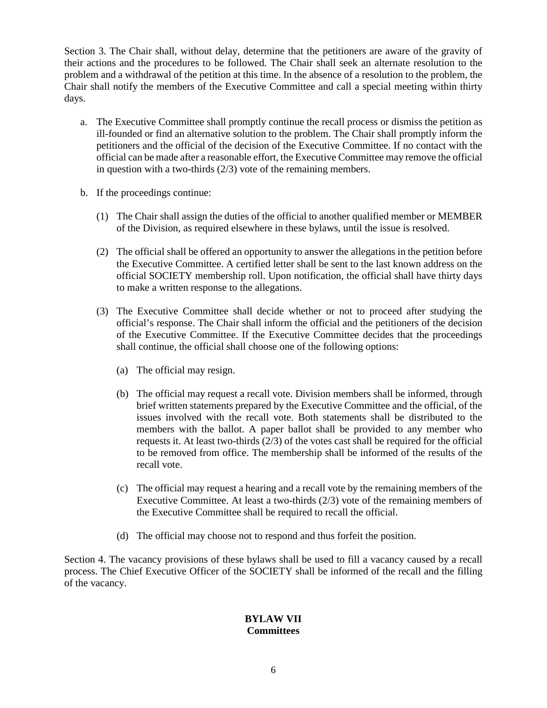Section 3. The Chair shall, without delay, determine that the petitioners are aware of the gravity of their actions and the procedures to be followed. The Chair shall seek an alternate resolution to the problem and a withdrawal of the petition at this time. In the absence of a resolution to the problem, the Chair shall notify the members of the Executive Committee and call a special meeting within thirty days.

- a. The Executive Committee shall promptly continue the recall process or dismiss the petition as ill-founded or find an alternative solution to the problem. The Chair shall promptly inform the petitioners and the official of the decision of the Executive Committee. If no contact with the official can be made after a reasonable effort, the Executive Committee may remove the official in question with a two-thirds (2/3) vote of the remaining members.
- b. If the proceedings continue:
	- (1) The Chair shall assign the duties of the official to another qualified member or MEMBER of the Division, as required elsewhere in these bylaws, until the issue is resolved.
	- (2) The official shall be offered an opportunity to answer the allegations in the petition before the Executive Committee. A certified letter shall be sent to the last known address on the official SOCIETY membership roll. Upon notification, the official shall have thirty days to make a written response to the allegations.
	- (3) The Executive Committee shall decide whether or not to proceed after studying the official's response. The Chair shall inform the official and the petitioners of the decision of the Executive Committee. If the Executive Committee decides that the proceedings shall continue, the official shall choose one of the following options:
		- (a) The official may resign.
		- (b) The official may request a recall vote. Division members shall be informed, through brief written statements prepared by the Executive Committee and the official, of the issues involved with the recall vote. Both statements shall be distributed to the members with the ballot. A paper ballot shall be provided to any member who requests it. At least two-thirds (2/3) of the votes cast shall be required for the official to be removed from office. The membership shall be informed of the results of the recall vote.
		- (c) The official may request a hearing and a recall vote by the remaining members of the Executive Committee. At least a two-thirds (2/3) vote of the remaining members of the Executive Committee shall be required to recall the official.
		- (d) The official may choose not to respond and thus forfeit the position.

Section 4. The vacancy provisions of these bylaws shall be used to fill a vacancy caused by a recall process. The Chief Executive Officer of the SOCIETY shall be informed of the recall and the filling of the vacancy.

## **BYLAW VII Committees**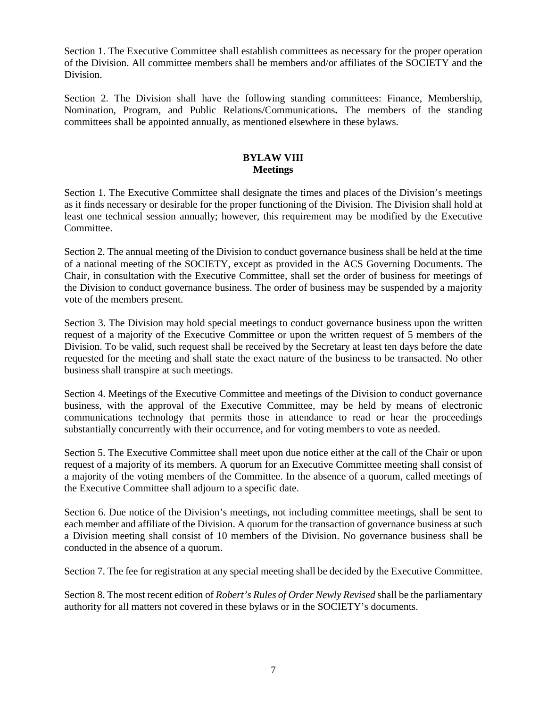Section 1. The Executive Committee shall establish committees as necessary for the proper operation of the Division. All committee members shall be members and/or affiliates of the SOCIETY and the Division.

Section 2. The Division shall have the following standing committees: Finance, Membership, Nomination, Program, and Public Relations/Communications**.** The members of the standing committees shall be appointed annually, as mentioned elsewhere in these bylaws.

## **BYLAW VIII Meetings**

Section 1. The Executive Committee shall designate the times and places of the Division's meetings as it finds necessary or desirable for the proper functioning of the Division. The Division shall hold at least one technical session annually; however, this requirement may be modified by the Executive Committee.

Section 2. The annual meeting of the Division to conduct governance business shall be held at the time of a national meeting of the SOCIETY, except as provided in the ACS Governing Documents. The Chair, in consultation with the Executive Committee, shall set the order of business for meetings of the Division to conduct governance business. The order of business may be suspended by a majority vote of the members present.

Section 3. The Division may hold special meetings to conduct governance business upon the written request of a majority of the Executive Committee or upon the written request of 5 members of the Division. To be valid, such request shall be received by the Secretary at least ten days before the date requested for the meeting and shall state the exact nature of the business to be transacted. No other business shall transpire at such meetings.

Section 4. Meetings of the Executive Committee and meetings of the Division to conduct governance business, with the approval of the Executive Committee, may be held by means of electronic communications technology that permits those in attendance to read or hear the proceedings substantially concurrently with their occurrence, and for voting members to vote as needed.

Section 5. The Executive Committee shall meet upon due notice either at the call of the Chair or upon request of a majority of its members. A quorum for an Executive Committee meeting shall consist of a majority of the voting members of the Committee. In the absence of a quorum, called meetings of the Executive Committee shall adjourn to a specific date.

Section 6. Due notice of the Division's meetings, not including committee meetings, shall be sent to each member and affiliate of the Division. A quorum for the transaction of governance business at such a Division meeting shall consist of 10 members of the Division. No governance business shall be conducted in the absence of a quorum.

Section 7. The fee for registration at any special meeting shall be decided by the Executive Committee.

Section 8. The most recent edition of *Robert's Rules of Order Newly Revised* shall be the parliamentary authority for all matters not covered in these bylaws or in the SOCIETY's documents.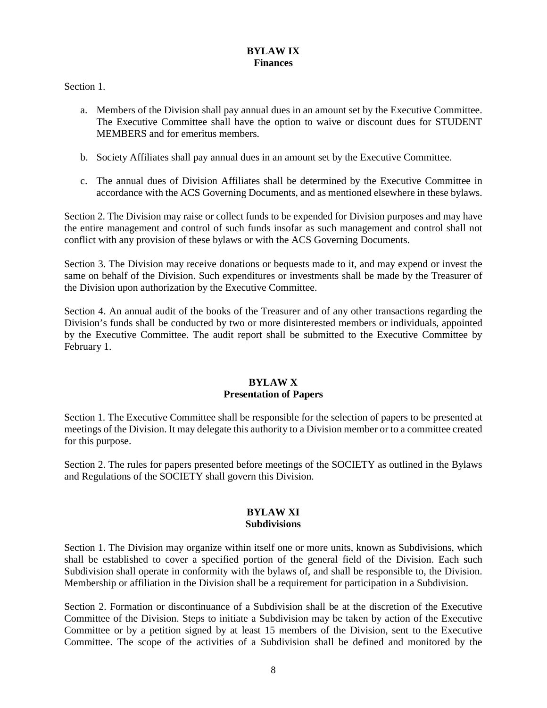### **BYLAW IX Finances**

Section 1.

- a. Members of the Division shall pay annual dues in an amount set by the Executive Committee. The Executive Committee shall have the option to waive or discount dues for STUDENT MEMBERS and for emeritus members.
- b. Society Affiliates shall pay annual dues in an amount set by the Executive Committee.
- c. The annual dues of Division Affiliates shall be determined by the Executive Committee in accordance with the ACS Governing Documents, and as mentioned elsewhere in these bylaws.

Section 2. The Division may raise or collect funds to be expended for Division purposes and may have the entire management and control of such funds insofar as such management and control shall not conflict with any provision of these bylaws or with the ACS Governing Documents.

Section 3. The Division may receive donations or bequests made to it, and may expend or invest the same on behalf of the Division. Such expenditures or investments shall be made by the Treasurer of the Division upon authorization by the Executive Committee.

Section 4. An annual audit of the books of the Treasurer and of any other transactions regarding the Division's funds shall be conducted by two or more disinterested members or individuals, appointed by the Executive Committee. The audit report shall be submitted to the Executive Committee by February 1.

## **BYLAW X Presentation of Papers**

Section 1. The Executive Committee shall be responsible for the selection of papers to be presented at meetings of the Division. It may delegate this authority to a Division member or to a committee created for this purpose.

Section 2. The rules for papers presented before meetings of the SOCIETY as outlined in the Bylaws and Regulations of the SOCIETY shall govern this Division.

## **BYLAW XI Subdivisions**

Section 1. The Division may organize within itself one or more units, known as Subdivisions, which shall be established to cover a specified portion of the general field of the Division. Each such Subdivision shall operate in conformity with the bylaws of, and shall be responsible to, the Division. Membership or affiliation in the Division shall be a requirement for participation in a Subdivision.

Section 2. Formation or discontinuance of a Subdivision shall be at the discretion of the Executive Committee of the Division. Steps to initiate a Subdivision may be taken by action of the Executive Committee or by a petition signed by at least 15 members of the Division, sent to the Executive Committee. The scope of the activities of a Subdivision shall be defined and monitored by the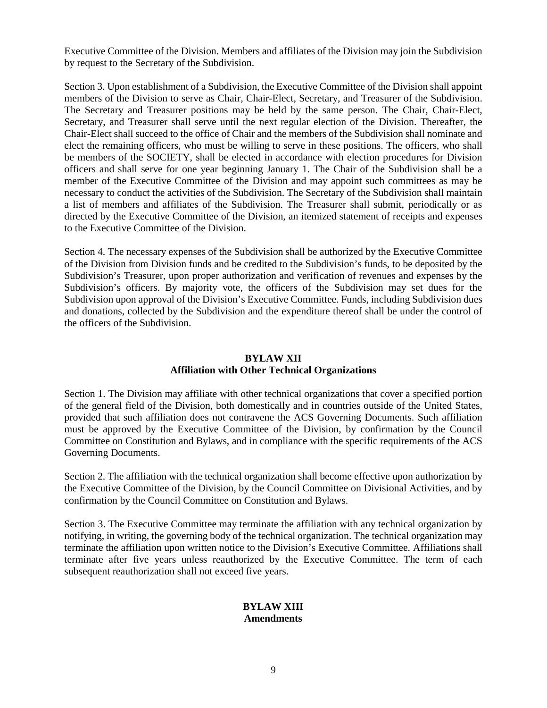Executive Committee of the Division. Members and affiliates of the Division may join the Subdivision by request to the Secretary of the Subdivision.

Section 3. Upon establishment of a Subdivision, the Executive Committee of the Division shall appoint members of the Division to serve as Chair, Chair-Elect, Secretary, and Treasurer of the Subdivision. The Secretary and Treasurer positions may be held by the same person. The Chair, Chair-Elect, Secretary, and Treasurer shall serve until the next regular election of the Division. Thereafter, the Chair-Elect shall succeed to the office of Chair and the members of the Subdivision shall nominate and elect the remaining officers, who must be willing to serve in these positions. The officers, who shall be members of the SOCIETY, shall be elected in accordance with election procedures for Division officers and shall serve for one year beginning January 1. The Chair of the Subdivision shall be a member of the Executive Committee of the Division and may appoint such committees as may be necessary to conduct the activities of the Subdivision. The Secretary of the Subdivision shall maintain a list of members and affiliates of the Subdivision. The Treasurer shall submit, periodically or as directed by the Executive Committee of the Division, an itemized statement of receipts and expenses to the Executive Committee of the Division.

Section 4. The necessary expenses of the Subdivision shall be authorized by the Executive Committee of the Division from Division funds and be credited to the Subdivision's funds, to be deposited by the Subdivision's Treasurer, upon proper authorization and verification of revenues and expenses by the Subdivision's officers. By majority vote, the officers of the Subdivision may set dues for the Subdivision upon approval of the Division's Executive Committee. Funds, including Subdivision dues and donations, collected by the Subdivision and the expenditure thereof shall be under the control of the officers of the Subdivision.

#### **BYLAW XII Affiliation with Other Technical Organizations**

Section 1. The Division may affiliate with other technical organizations that cover a specified portion of the general field of the Division, both domestically and in countries outside of the United States, provided that such affiliation does not contravene the ACS Governing Documents. Such affiliation must be approved by the Executive Committee of the Division, by confirmation by the Council Committee on Constitution and Bylaws, and in compliance with the specific requirements of the ACS Governing Documents.

Section 2. The affiliation with the technical organization shall become effective upon authorization by the Executive Committee of the Division, by the Council Committee on Divisional Activities, and by confirmation by the Council Committee on Constitution and Bylaws.

Section 3. The Executive Committee may terminate the affiliation with any technical organization by notifying, in writing, the governing body of the technical organization. The technical organization may terminate the affiliation upon written notice to the Division's Executive Committee. Affiliations shall terminate after five years unless reauthorized by the Executive Committee. The term of each subsequent reauthorization shall not exceed five years.

#### **BYLAW XIII Amendments**